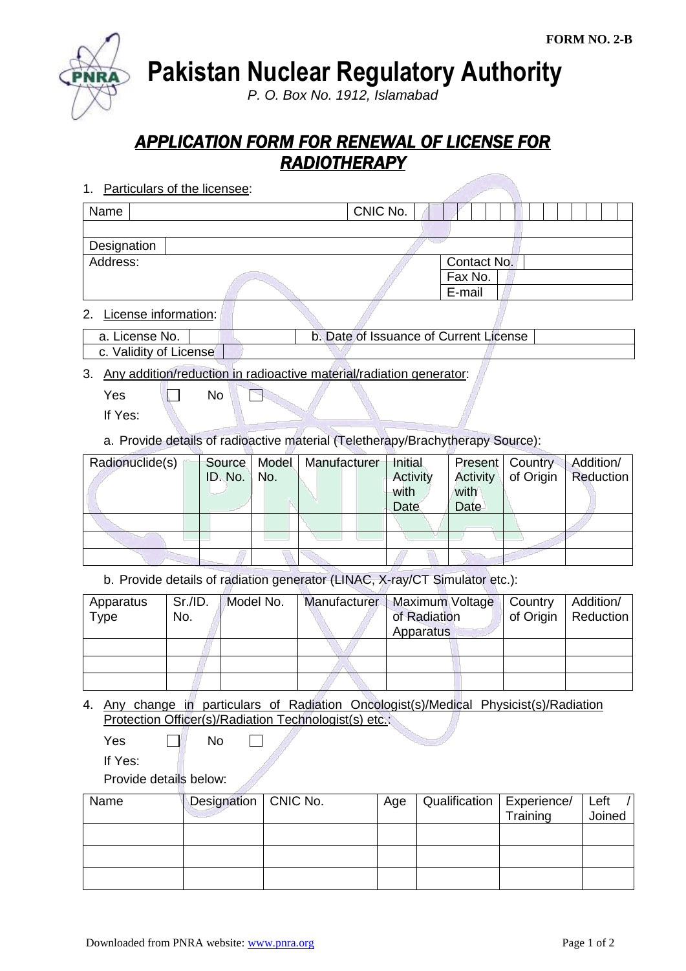**Pakistan Nuclear Regulatory Authority**

*P. O. Box No. 1912, Islamabad*

## *APPLICATION FORM FOR RENEWAL OF LICENSE FOR RADIOTHERAPY*

1. Particulars of the licensee:

| Name                                      | CNIC No. |             |  |
|-------------------------------------------|----------|-------------|--|
|                                           |          |             |  |
| Designation                               |          |             |  |
| Address:                                  |          | Contact No. |  |
|                                           |          | Fax No.     |  |
|                                           |          | E-mail      |  |
| $\sim$ $\sim$ $\sim$ $\sim$ $\sim$ $\sim$ |          |             |  |

2. License information:

| a. License No. | b. Date of Issuance of Current License |  |
|----------------|----------------------------------------|--|
|                |                                        |  |

c. Validity of License

3. Any addition/reduction in radioactive material/radiation generator:

 $Yes \t No$ P

If Yes:

a. Provide details of radioactive material (Teletherapy/Brachytherapy Source):

| Radionuclide(s) | ID. No. | $\vert$ No. | Source   Model   Manufacturer | Initial<br>Activity<br>with<br>Date | with<br><b>Date</b> | Present   Country | Addition/<br>Activity   of Origin   Reduction |
|-----------------|---------|-------------|-------------------------------|-------------------------------------|---------------------|-------------------|-----------------------------------------------|
|                 |         |             |                               |                                     |                     |                   |                                               |
|                 |         |             |                               |                                     |                     |                   |                                               |
|                 |         |             |                               |                                     |                     |                   |                                               |

b. Provide details of radiation generator (LINAC, X-ray/CT Simulator etc.):

| Apparatus<br>Type | Sr./ID.<br>No. | Model No. | <b>Manufacturer</b> | Maximum Voltage<br>of Radiation<br>Apparatus | Country | Addition/<br>of Origin   Reduction |
|-------------------|----------------|-----------|---------------------|----------------------------------------------|---------|------------------------------------|
|                   |                |           |                     |                                              |         |                                    |
|                   |                |           |                     |                                              |         |                                    |
|                   |                |           |                     |                                              |         |                                    |

4. Any change in particulars of Radiation Oncologist(s)/Medical Physicist(s)/Radiation Protection Officer(s)/Radiation Technologist(s) etc.:

| Yes | No |
|-----|----|
|-----|----|

If Yes:

Provide details below:

| Name | Designation   CNIC No. | Age | Qualification   Experience/ |          | Left   |
|------|------------------------|-----|-----------------------------|----------|--------|
|      |                        |     |                             | Training | Joined |
|      |                        |     |                             |          |        |
|      |                        |     |                             |          |        |
|      |                        |     |                             |          |        |
|      |                        |     |                             |          |        |
|      |                        |     |                             |          |        |